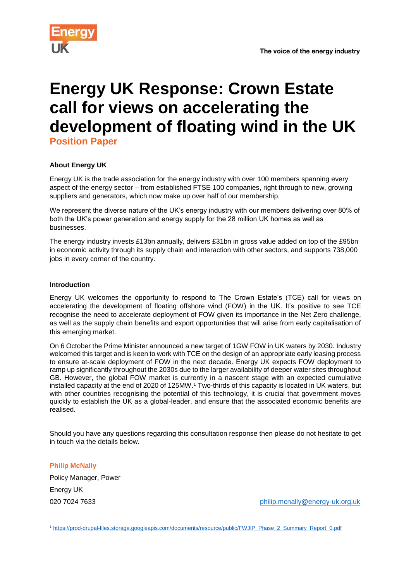

# **Energy UK Response: Crown Estate call for views on accelerating the development of floating wind in the UK**

**Position Paper**

# **About Energy UK**

Energy UK is the trade association for the energy industry with over 100 members spanning every aspect of the energy sector – from established FTSE 100 companies, right through to new, growing suppliers and generators, which now make up over half of our membership.

We represent the diverse nature of the UK's energy industry with our members delivering over 80% of both the UK's power generation and energy supply for the 28 million UK homes as well as businesses.

The energy industry invests £13bn annually, delivers £31bn in gross value added on top of the £95bn in economic activity through its supply chain and interaction with other sectors, and supports 738,000 jobs in every corner of the country.

## **Introduction**

Energy UK welcomes the opportunity to respond to The Crown Estate's (TCE) call for views on accelerating the development of floating offshore wind (FOW) in the UK. It's positive to see TCE recognise the need to accelerate deployment of FOW given its importance in the Net Zero challenge, as well as the supply chain benefits and export opportunities that will arise from early capitalisation of this emerging market.

On 6 October the Prime Minister announced a new target of 1GW FOW in UK waters by 2030. Industry welcomed this target and is keen to work with TCE on the design of an appropriate early leasing process to ensure at-scale deployment of FOW in the next decade. Energy UK expects FOW deployment to ramp up significantly throughout the 2030s due to the larger availability of deeper water sites throughout GB. However, the global FOW market is currently in a nascent stage with an expected cumulative installed capacity at the end of 2020 of 125MW.<sup>1</sup> Two-thirds of this capacity is located in UK waters, but with other countries recognising the potential of this technology, it is crucial that government moves quickly to establish the UK as a global-leader, and ensure that the associated economic benefits are realised.

Should you have any questions regarding this consultation response then please do not hesitate to get in touch via the details below.

**Philip McNally**

-

Policy Manager, Power Energy UK

020 7024 7633 [philip.mcnally@energy-uk.org.uk](mailto:philip.mcnally@energy-uk.org.uk)

<sup>1</sup> [https://prod-drupal-files.storage.googleapis.com/documents/resource/public/FWJIP\\_Phase\\_2\\_Summary\\_Report\\_0.pdf](https://prod-drupal-files.storage.googleapis.com/documents/resource/public/FWJIP_Phase_2_Summary_Report_0.pdf)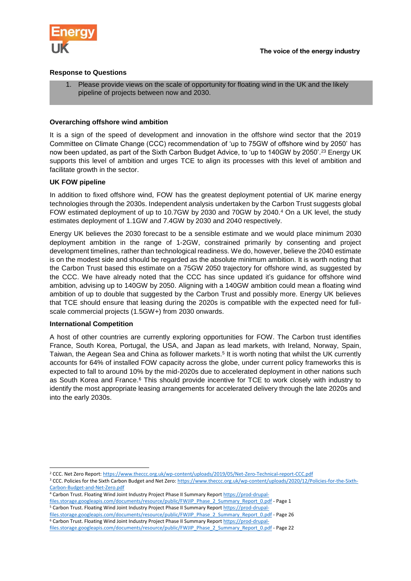

## **Response to Questions**

1. Please provide views on the scale of opportunity for floating wind in the UK and the likely pipeline of projects between now and 2030.

## **Overarching offshore wind ambition**

It is a sign of the speed of development and innovation in the offshore wind sector that the 2019 Committee on Climate Change (CCC) recommendation of 'up to 75GW of offshore wind by 2050' has now been updated, as part of the Sixth Carbon Budget Advice, to 'up to 140GW by 2050'.<sup>23</sup> Energy UK supports this level of ambition and urges TCE to align its processes with this level of ambition and facilitate growth in the sector.

## **UK FOW pipeline**

In addition to fixed offshore wind, FOW has the greatest deployment potential of UK marine energy technologies through the 2030s. Independent analysis undertaken by the Carbon Trust suggests global FOW estimated deployment of up to 10.7GW by 2030 and 70GW by 2040.<sup>4</sup> On a UK level, the study estimates deployment of 1.1GW and 7.4GW by 2030 and 2040 respectively.

Energy UK believes the 2030 forecast to be a sensible estimate and we would place minimum 2030 deployment ambition in the range of 1-2GW, constrained primarily by consenting and project development timelines, rather than technological readiness. We do, however, believe the 2040 estimate is on the modest side and should be regarded as the absolute minimum ambition. It is worth noting that the Carbon Trust based this estimate on a 75GW 2050 trajectory for offshore wind, as suggested by the CCC. We have already noted that the CCC has since updated it's guidance for offshore wind ambition, advising up to 140GW by 2050. Aligning with a 140GW ambition could mean a floating wind ambition of up to double that suggested by the Carbon Trust and possibly more. Energy UK believes that TCE should ensure that leasing during the 2020s is compatible with the expected need for fullscale commercial projects (1.5GW+) from 2030 onwards.

#### **International Competition**

-

A host of other countries are currently exploring opportunities for FOW. The Carbon trust identifies France, South Korea, Portugal, the USA, and Japan as lead markets, with Ireland, Norway, Spain, Taiwan, the Aegean Sea and China as follower markets.<sup>5</sup> It is worth noting that whilst the UK currently accounts for 64% of installed FOW capacity across the globe, under current policy frameworks this is expected to fall to around 10% by the mid-2020s due to accelerated deployment in other nations such as South Korea and France.<sup>6</sup> This should provide incentive for TCE to work closely with industry to identify the most appropriate leasing arrangements for accelerated delivery through the late 2020s and into the early 2030s.

<sup>4</sup> Carbon Trust. Floating Wind Joint Industry Project Phase II Summary Repor[t https://prod-drupal](https://prod-drupal-files.storage.googleapis.com/documents/resource/public/FWJIP_Phase_2_Summary_Report_0.pdf)[files.storage.googleapis.com/documents/resource/public/FWJIP\\_Phase\\_2\\_Summary\\_Report\\_0.pdf](https://prod-drupal-files.storage.googleapis.com/documents/resource/public/FWJIP_Phase_2_Summary_Report_0.pdf) - Page 1 <sup>5</sup> Carbon Trust. Floating Wind Joint Industry Project Phase II Summary Repor[t https://prod-drupal-](https://prod-drupal-files.storage.googleapis.com/documents/resource/public/FWJIP_Phase_2_Summary_Report_0.pdf)

[files.storage.googleapis.com/documents/resource/public/FWJIP\\_Phase\\_2\\_Summary\\_Report\\_0.pdf](https://prod-drupal-files.storage.googleapis.com/documents/resource/public/FWJIP_Phase_2_Summary_Report_0.pdf) - Page 26 <sup>6</sup> Carbon Trust. Floating Wind Joint Industry Project Phase II Summary Repor[t https://prod-drupal-](https://prod-drupal-files.storage.googleapis.com/documents/resource/public/FWJIP_Phase_2_Summary_Report_0.pdf)

<sup>&</sup>lt;sup>2</sup> CCC. Net Zero Report[: https://www.theccc.org.uk/wp-content/uploads/2019/05/Net-Zero-Technical-report-CCC.pdf](https://www.theccc.org.uk/wp-content/uploads/2019/05/Net-Zero-Technical-report-CCC.pdf) <sup>3</sup> CCC. Policies for the Sixth Carbon Budget and Net Zero[: https://www.theccc.org.uk/wp-content/uploads/2020/12/Policies-for-the-Sixth-](https://www.theccc.org.uk/wp-content/uploads/2020/12/Policies-for-the-Sixth-Carbon-Budget-and-Net-Zero.pdf)[Carbon-Budget-and-Net-Zero.pdf](https://www.theccc.org.uk/wp-content/uploads/2020/12/Policies-for-the-Sixth-Carbon-Budget-and-Net-Zero.pdf)

[files.storage.googleapis.com/documents/resource/public/FWJIP\\_Phase\\_2\\_Summary\\_Report\\_0.pdf](https://prod-drupal-files.storage.googleapis.com/documents/resource/public/FWJIP_Phase_2_Summary_Report_0.pdf) - Page 22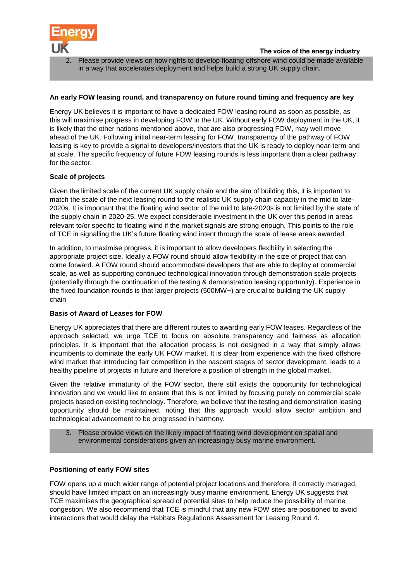

2. Please provide views on how rights to develop floating offshore wind could be made available in a way that accelerates deployment and helps build a strong UK supply chain.

## **An early FOW leasing round, and transparency on future round timing and frequency are key**

Energy UK believes it is important to have a dedicated FOW leasing round as soon as possible, as this will maximise progress in developing FOW in the UK. Without early FOW deployment in the UK, it is likely that the other nations mentioned above, that are also progressing FOW, may well move ahead of the UK. Following initial near-term leasing for FOW, transparency of the pathway of FOW leasing is key to provide a signal to developers/investors that the UK is ready to deploy near-term and at scale. The specific frequency of future FOW leasing rounds is less important than a clear pathway for the sector.

## **Scale of projects**

Given the limited scale of the current UK supply chain and the aim of building this, it is important to match the scale of the next leasing round to the realistic UK supply chain capacity in the mid to late-2020s. It is important that the floating wind sector of the mid to late-2020s is not limited by the state of the supply chain in 2020-25. We expect considerable investment in the UK over this period in areas relevant to/or specific to floating wind if the market signals are strong enough. This points to the role of TCE in signalling the UK's future floating wind intent through the scale of lease areas awarded.

In addition, to maximise progress, it is important to allow developers flexibility in selecting the appropriate project size. Ideally a FOW round should allow flexibility in the size of project that can come forward. A FOW round should accommodate developers that are able to deploy at commercial scale, as well as supporting continued technological innovation through demonstration scale projects (potentially through the continuation of the testing & demonstration leasing opportunity). Experience in the fixed foundation rounds is that larger projects (500MW+) are crucial to building the UK supply chain

#### **Basis of Award of Leases for FOW**

Energy UK appreciates that there are different routes to awarding early FOW leases. Regardless of the approach selected, we urge TCE to focus on absolute transparency and fairness as allocation principles. It is important that the allocation process is not designed in a way that simply allows incumbents to dominate the early UK FOW market. It is clear from experience with the fixed offshore wind market that introducing fair competition in the nascent stages of sector development, leads to a healthy pipeline of projects in future and therefore a position of strength in the global market.

Given the relative immaturity of the FOW sector, there still exists the opportunity for technological innovation and we would like to ensure that this is not limited by focusing purely on commercial scale projects based on existing technology. Therefore, we believe that the testing and demonstration leasing opportunity should be maintained, noting that this approach would allow sector ambition and technological advancement to be progressed in harmony.

3. Please provide views on the likely impact of floating wind development on spatial and environmental considerations given an increasingly busy marine environment.

#### **Positioning of early FOW sites**

FOW opens up a much wider range of potential project locations and therefore, if correctly managed, should have limited impact on an increasingly busy marine environment. Energy UK suggests that TCE maximises the geographical spread of potential sites to help reduce the possibility of marine congestion. We also recommend that TCE is mindful that any new FOW sites are positioned to avoid interactions that would delay the Habitats Regulations Assessment for Leasing Round 4.